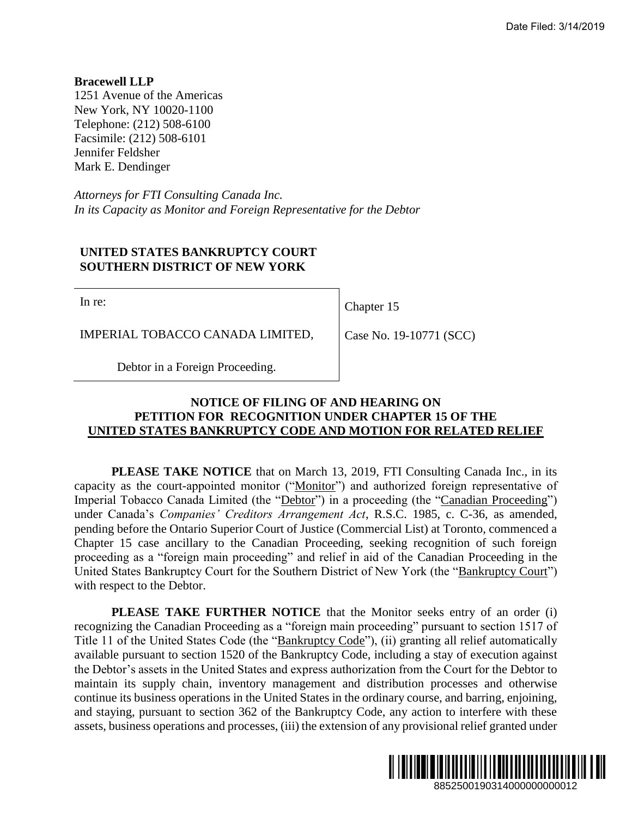**Bracewell LLP** 1251 Avenue of the Americas New York, NY 10020-1100 Telephone: (212) 508-6100 Facsimile: (212) 508-6101 Jennifer Feldsher Mark E. Dendinger

*Attorneys for FTI Consulting Canada Inc. In its Capacity as Monitor and Foreign Representative for the Debtor*

## **UNITED STATES BANKRUPTCY COURT SOUTHERN DISTRICT OF NEW YORK**

In re:

Chapter 15

IMPERIAL TOBACCO CANADA LIMITED,

Case No. 19-10771 (SCC)

Debtor in a Foreign Proceeding.

## **NOTICE OF FILING OF AND HEARING ON PETITION FOR RECOGNITION UNDER CHAPTER 15 OF THE UNITED STATES BANKRUPTCY CODE AND MOTION FOR RELATED RELIEF**

**PLEASE TAKE NOTICE** that on March 13, 2019, FTI Consulting Canada Inc., in its capacity as the court-appointed monitor ("Monitor") and authorized foreign representative of Imperial Tobacco Canada Limited (the "Debtor") in a proceeding (the "Canadian Proceeding") under Canada's *Companies' Creditors Arrangement Act*, R.S.C. 1985, c. C-36, as amended, pending before the Ontario Superior Court of Justice (Commercial List) at Toronto, commenced a Chapter 15 case ancillary to the Canadian Proceeding, seeking recognition of such foreign proceeding as a "foreign main proceeding" and relief in aid of the Canadian Proceeding in the United States Bankruptcy Court for the Southern District of New York (the "Bankruptcy Court") with respect to the Debtor. Date Filed: 3/14/2019<br> **SECONDITY:**<br> **SECONDITY:**<br> **SECONDITY:**<br> **SECONDITY:**<br> **SECONDITY:**<br> **SECONDITY:**<br> **SECONDITY:**<br> **SECONDITY:**<br> **CONDITY:**<br> **CONDITY:**<br> **CONDITY:**<br> **CONDITY:**<br> **EXECONDITY:**<br> **EXECONDITY:**<br> **EXECONDI** 

**PLEASE TAKE FURTHER NOTICE** that the Monitor seeks entry of an order (i) recognizing the Canadian Proceeding as a "foreign main proceeding" pursuant to section 1517 of Title 11 of the United States Code (the "Bankruptcy Code"), (ii) granting all relief automatically available pursuant to section 1520 of the Bankruptcy Code, including a stay of execution against the Debtor's assets in the United States and express authorization from the Court for the Debtor to maintain its supply chain, inventory management and distribution processes and otherwise continue its business operations in the United States in the ordinary course, and barring, enjoining, and staying, pursuant to section 362 of the Bankruptcy Code, any action to interfere with these assets, business operations and processes, (iii) the extension of any provisional relief granted under

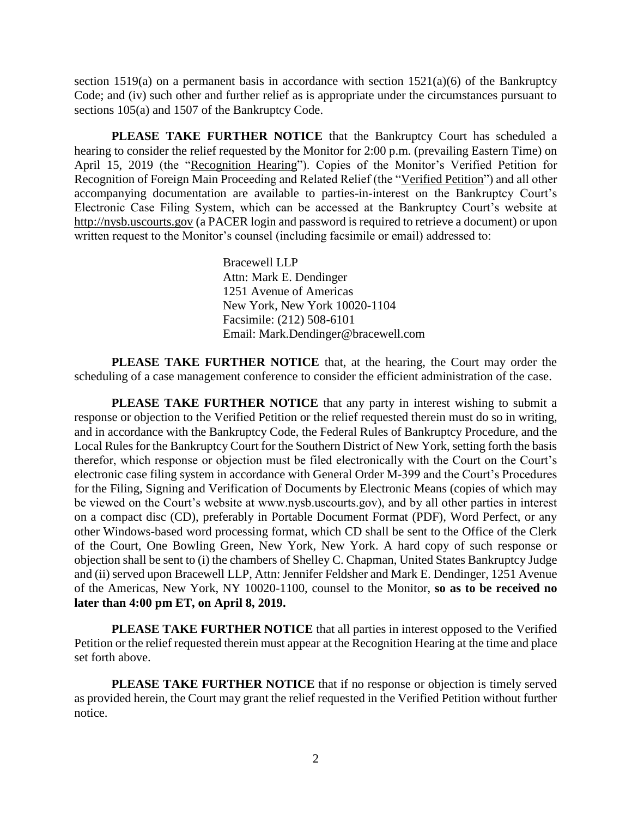section 1519(a) on a permanent basis in accordance with section 1521(a)(6) of the Bankruptcy Code; and (iv) such other and further relief as is appropriate under the circumstances pursuant to sections 105(a) and 1507 of the Bankruptcy Code.

**PLEASE TAKE FURTHER NOTICE** that the Bankruptcy Court has scheduled a hearing to consider the relief requested by the Monitor for 2:00 p.m. (prevailing Eastern Time) on April 15, 2019 (the "Recognition Hearing"). Copies of the Monitor's Verified Petition for Recognition of Foreign Main Proceeding and Related Relief (the "Verified Petition") and all other accompanying documentation are available to parties-in-interest on the Bankruptcy Court's Electronic Case Filing System, which can be accessed at the Bankruptcy Court's website at http://nysb.uscourts.gov (a PACER login and password is required to retrieve a document) or upon written request to the Monitor's counsel (including facsimile or email) addressed to:

> Bracewell LLP Attn: Mark E. Dendinger 1251 Avenue of Americas New York, New York 10020-1104 Facsimile: (212) 508-6101 Email: Mark.Dendinger@bracewell.com

**PLEASE TAKE FURTHER NOTICE** that, at the hearing, the Court may order the scheduling of a case management conference to consider the efficient administration of the case.

**PLEASE TAKE FURTHER NOTICE** that any party in interest wishing to submit a response or objection to the Verified Petition or the relief requested therein must do so in writing, and in accordance with the Bankruptcy Code, the Federal Rules of Bankruptcy Procedure, and the Local Rules for the Bankruptcy Court for the Southern District of New York, setting forth the basis therefor, which response or objection must be filed electronically with the Court on the Court's electronic case filing system in accordance with General Order M-399 and the Court's Procedures for the Filing, Signing and Verification of Documents by Electronic Means (copies of which may be viewed on the Court's website at www.nysb.uscourts.gov), and by all other parties in interest on a compact disc (CD), preferably in Portable Document Format (PDF), Word Perfect, or any other Windows-based word processing format, which CD shall be sent to the Office of the Clerk of the Court, One Bowling Green, New York, New York. A hard copy of such response or objection shall be sent to (i) the chambers of Shelley C. Chapman, United States Bankruptcy Judge and (ii) served upon Bracewell LLP, Attn: Jennifer Feldsher and Mark E. Dendinger, 1251 Avenue of the Americas, New York, NY 10020-1100, counsel to the Monitor, **so as to be received no later than 4:00 pm ET, on April 8, 2019.**

**PLEASE TAKE FURTHER NOTICE** that all parties in interest opposed to the Verified Petition or the relief requested therein must appear at the Recognition Hearing at the time and place set forth above.

**PLEASE TAKE FURTHER NOTICE** that if no response or objection is timely served as provided herein, the Court may grant the relief requested in the Verified Petition without further notice.